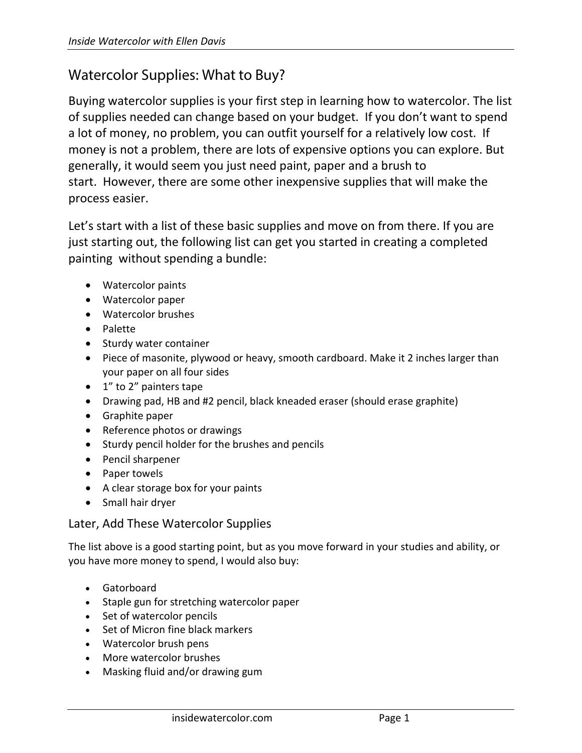## Watercolor Supplies: What to Buy?

Buying watercolor supplies is your first step in learning how to watercolor. The list of supplies needed can change based on your budget. If you don't want to spend a lot of money, no problem, you can outfit yourself for a relatively low cost. If money is not a problem, there are lots of expensive options you can explore. But generally, it would seem you just need paint, paper and a brush to start. However, there are some other inexpensive supplies that will make the process easier.

Let's start with a list of these basic supplies and move on from there. If you are just starting out, the following list can get you started in creating a completed painting without spending a bundle:

- Watercolor paints
- Watercolor paper
- Watercolor brushes
- Palette
- Sturdy water container
- Piece of masonite, plywood or heavy, smooth cardboard. Make it 2 inches larger than your paper on all four sides
- 1" to 2" painters tape
- Drawing pad, HB and #2 pencil, black kneaded eraser (should erase graphite)
- Graphite paper
- Reference photos or drawings
- Sturdy pencil holder for the brushes and pencils
- Pencil sharpener
- Paper towels
- A clear storage box for your paints
- Small hair dryer

## Later, Add These Watercolor Supplies

The list above is a good starting point, but as you move forward in your studies and ability, or you have more money to spend, I would also buy:

- Gatorboard
- Staple gun for stretching watercolor paper
- Set of watercolor pencils
- Set of Micron fine black markers
- Watercolor brush pens
- More watercolor brushes
- Masking fluid and/or drawing gum